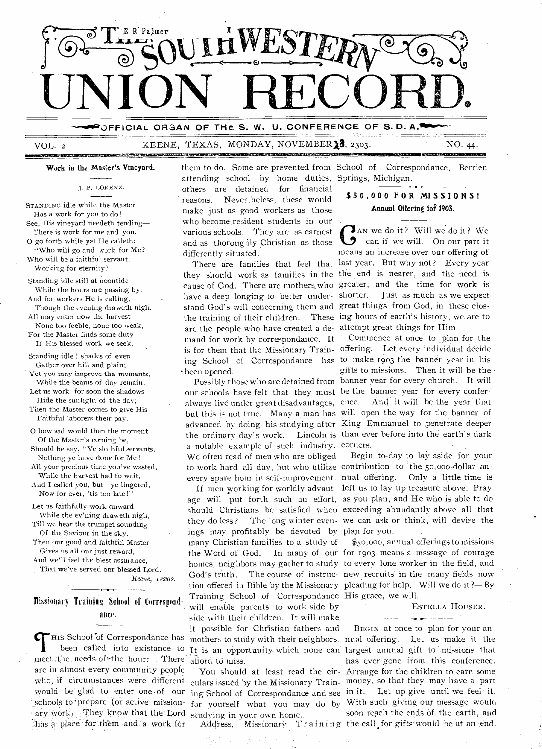

## OFFICIAL ORGAN OF THE S. W. U. CONFERENCE OF S.D. A.

VOL.<sub>2</sub>

### KEENE, TEXAS, MONDAY, NOVEMBER 13, 2303.

NO. 44.

Work in the Master's Vineyard.

J. P. LORENZ.

STANDING idle while the Master Has a work for you to do! See, His vineyard needeth tending-There is work for me and you. O go forth while yet He calleth: 'Who will go and work for Me? Who will be a faithful servant, Working for eternity?

Standing idle still at noontide While the hours are passing by, And for workers He is calling. Though the evening draweth nigh.

All may enter now the harvest None too feeble, none too weak, For the Master finds some duty,

If His blessed work we seek.

Standing idle! shades of even Gather over hill and plain; Yet you may improve the moments, While the beams of day remain.

Let us work, for soon the shadows Hide the sunlight of the day;

Titen the Master comes to give His Faithful laborers their pay.

O how sad would then the moment Of the Master's coming be,

Should he say, "Ye slothful servants, Nothing ye have done for Me!

All your precious time you've wasted,. While the harvest had to wait,

And I called you, but ye lingered, Now for ever, 'tis too late!"

Let us faithfully work onward While the ev'ning draweth nigh,

Till we hear the trumpet sounding Of the Saviour in the sky.

Then our good and faithful Master Gives us all our just reward, And we'll feel the blest assurance,

That we've served our blessed Lord.

Keene, 1 exas.

## Missionary Training School of Correspondance.

HIS School of Correspondance has been called into existance to meet the needs of the hour: There are in almost every community people ary work. They know that the Lord studying in your own home. thas a place for them and a work for

them to do. Some are prevented from School of Correspondance, Berrien attending school by home duties, Springs, Michigan. others are detained for financial reasons. Nevertheless, these would make just as good workers as those who become resident students in our various schools. They are as earnest and as thoroughly Christian as those differently situated.

cause of God. There are mothers who have a deep longing to better understand God's will concerning them and are the people who have created a de- attempt great things for Him. mand for work by correspondance. It been opened.

our schools have felt that they must be the banner year for every conferalways live under great disadvantages, ence. And it will be the year that but this is not true. Many a man has will open the way for the banner of the ordinary day's work. a notable example of such industry. corners. We often read of men who are obliged to work hard all day, but who utilize contribution to the 50,000-dollar anevery spare hour in self-improvement. nual offering. Only a little time is

age will put forth such an effort, as you plan, and He who is able to do should Christians be satisfied when exceeding abundantly above all that they do less? ings may profitably be devoted by plan for you. many Christian families to a study of the Word of God. homes, neighbors may gather to study to every lone worker in the field, and God's truth. The course of instruc- new recruits in the many fields now tion offered in Bible by the Missionary pleading for help. Will we do it?-By Training School of Correspondance His grace, we will. will enable parents to work side by side with their children. It will make it possible for Christian fathers and mothers to study with their neighbors. nual offering. Let us make it the It is an opportunity which none can largest annual gift to missions that afford to miss.

## \$50,000 FOR MISSIONS! Annual Offering for 1903.

JAN we do it? Will we do it? We **O** can if we will. On our part it means an increase over our offering of There are families that feel that last year. But why not? Every year they should work as families in the the end is nearer, and the need is greater, and the time for work is Just as much as we expect shorter. great things from God, in these closthe training of their children. These ing hours of earth's history, we are to

Commence at once to plan for the is for them that the Missionary Train- offering. Let every individual decide ing School of Correspondance has to make 1903 the banner year in his gifts to missions. Then it will be the Possibly those who are detained from banner year for every church. It will advanced by doing his studying after King Emmanuel to penetrate deeper Lincoln is than ever before into the earth's dark

Begin to-day to lay aside for your If men working for worldly advant- left us to lay up treasure above. Pray The long winter even- we can ask or think, will devise the

> \$50,000, an ual offerings to missions In many of our for 1903 means a msssage of courage

> > ESTELLA HOUSER.

BEGIN at once to plan for your anhas ever gone from this conference. You should at least read the cir- Arrange for the children to earn some who, if circumstances were different culars issued by the Missionary Train- money, so that they may have a part would be glad to enter one of our ing School of Correspondance and see in it. Let up give until we feel it. schools to prepare for active mission- for yourself what you may do by With such giving our message would soon reach the ends of the earth, and Address, Missionary Training the call for gifts would be at an end.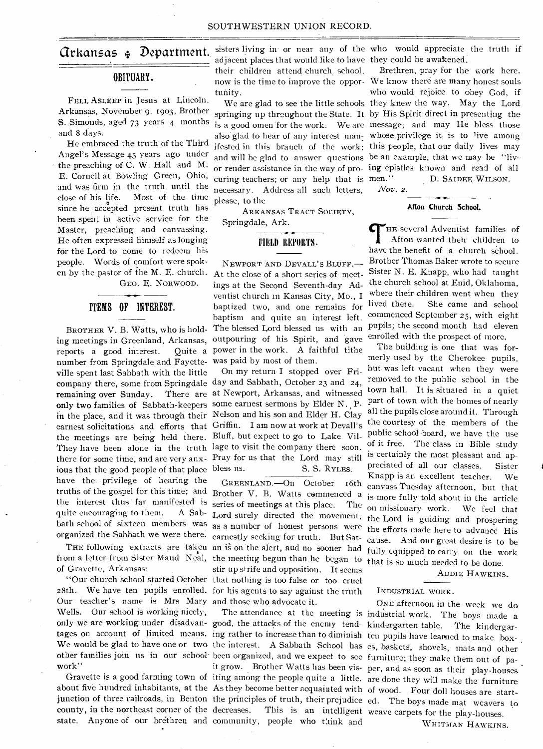## OBITUARY.

FELL ASLEEP in Jesus at Lincoln, S. Simonds, aged 73 years 4 months and 8 days.

He embraced the truth of the Third Angel's Message 45 years ago under the preaching of C. W. Hall and M. E. Cornell at Bowling Green, Ohio, and was firm in the truth until the close of his life. Most of the time since he accepted present truth has been spent in active service for the Master, preaching and canvassing. He often expressed himself as longing for the Lord to come to redeem his people. Words of comfort were spoken by the pastor of the M. E. church. At the close of a short series of meet-GEO. E. NORWOOD.

# ITEMS OF INTEREST.

BROTHER V. B. Watts, who is holding meetings in Greenland, Arkansas, reports a good interest. number from Springdale and Fayette-was paid by most of them. ville spent last Sabbath with the little the meetings are being held there. Bluff, but expect to go to Lake Vilious that the good people of that place bless us. have the privilege of hearing the truths of the gospel for this time; and Brother V. B. Watts commenced a the interest thus far manifested is series of meetings at this place. The quite encouraging to them. bath school of sixteen members was as a number of honest persons were

of Gravette, Arkansas:

Our teacher's name is Mrs Mary and those who advocate it. Wells. Our school is working nicely, work"

adjacent places that would like to have they could be awakened. their children attend church school, tunity.

curing teachers; or any help that is men." necessary. Address all such letters, please, to the

ARKANSAS TRACT SOCIETY, Springdale, Ark.

## FIELD REPORTS.

NEWPORT AND DEVALL'S BLUFF.ings at the Second Seventh-day Adventist church in Kansas City, Mo., **I**  baptized two, and one remains for baptism and quite an interest left. The blessed Lord blessed us with an outpouring of his Spirit, and gave Quite a power in the work. A faithful tithe

company there, some from Springdale day and Sabbath, October 23 and 24, remaining over Sunday. There are at Newport, Arkansas, and witnessed only two families of Sabbath-keepers some earnest sermons by Elder N. P. in the place, and it was through their Nelson and his son and Elder H. Clay earnest solicitations and efforts that Griffin. **I** am now at work at Devall's They have been alone in the truth lage to visit the company there soon. there for some time, and are very anx-Pray for us that the Lord may still On my return **I** stopped over Fri-S. S. RYLES.

organized the Sabbath we were there. earnestly seeking for truth. But Sat-THE following extracts are taken an is on the alert, and no sooner had from a letter from Sister Maud Neal, the meeting begun than he began to "Our church school started October that nothing is too false or too cruel 28th. We have ten pupils enrolled. for his agents to say against the truth GREENLAND.—On October 16th A Sab- Lord surely directed the movement, stir up strife and opposition. It seems

only we are working under disadvan- good, the attacks of the enemy tend- kindergarten table. The kindergartages on account of limited means. ing rather to increase than to diminish ten pupils have learned to make boxother families join us in our school been organized, and we expect to see furniture; they make them out of paabout five hundred inhabitants, at the As they become better acquainted with of wood. Four doll houses are startcounty, in the northeast corner of the decreases. This is an intelligent weave carpets for the play-houses. state. Anyone of our brethren and community, people who think and

**Grkansas**  $\oint$  **Department.** sisters living in or near any of the who would appreciate the truth if

Arkansas, November 9, 1903, Brother springing up throughout the State. It by His Spirit direct in presenting the now is the time to improve the oppor-We know there are many honest souls We are glad to see the little schools they knew the way. May the Lord is a good omen for the work. We are message; and may He bless those is a good omen for the work. We are the sage; and thay the bless those<br>also glad to hear of any interest man<sub>:</sub> whose privilege it is to live among ifested in this branch of the work; this people, that our daily lives may and will be glad to answer questions be an example, that we may be "livor render assistance in the way of pro-ing epistles known and read of all Brethren, pray for the work here. who would rejoice to obey God, if D. SAIDEE WILSON.

*Nov.* 2.

### **Afton Church School.**

THE several Adventist families of Afton wanted their children to have the benefit of a church school. Brother Thomas Baker wrote to secure Sister N. E. Knapp, who had taught the church school at Enid, Oklahoma, where their children went when they lived there. She came and school commenced September 25, with eight pupils; the second month had eleven enrolled with the prospect of more.

The building is one that was formerly used by the Cherokee pupils, but was left vacant when they were removed to the public school in the town hall. It is situated in a quiet part of town with the homes of nearly all the pupils close around it. Through the courtesy of the members of the public school board, we have the use of it free. The class in Bible study is certainly the most pleasant and appreciated of all our classes. Sister Knapp is an excellent teacher. We canvass Tuesday afternoon, but that is more fully told about in the article on missionary work. We feel that the Lord is guiding and prospering the efforts made here to advance His cause. And our great desire is to be fully equipped to carry on the work that is so much needed to be done.

ADDIE HAWKINS.

## INDUSTRIAL WORK.

We would be glad to have one or two the interest. A Sabbath School has es, baskets, shovels, mats and other Gravette is a good farming town of iting among the people quite a little. are done they will make the furniture junction of three railroads, in Benton the principles of truth, their prejudice ed. The boys made mat weavers to The attendance at the meeting is industrial work. The boys made a it grow. Brother Watts has been vis-per, and as soon as their play-houses ONE afternoon in the week we do

WHITMAN HAWKINS.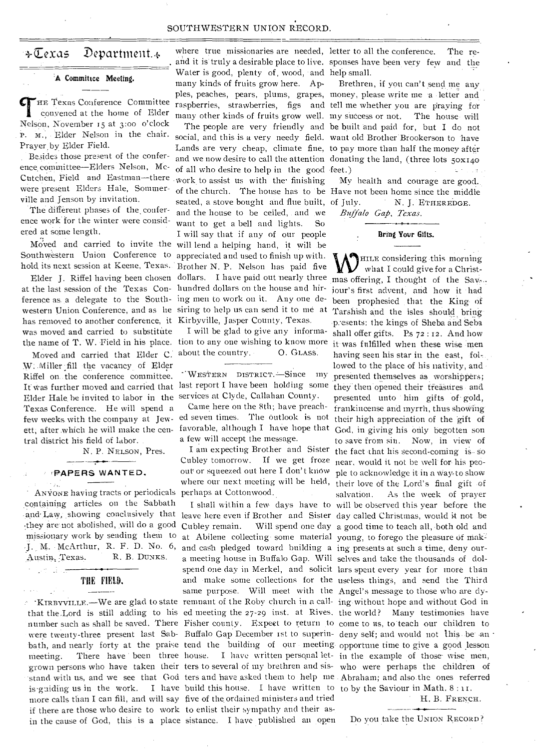## SOUTHWESTERN UNION RECORD.

HE Texas Conference Committee convened at the home of Elder Nelson, November 15 at 3:00 o'clock P. M., Elder Nelson in the chair. Prayer by Elder Field.

Besides those present of the conference committee—Elders Nelson, Mc-Cutchen, Field and Eastman—there . were present Elders Hale, Sommerville and Jenson by invitation.

The different phases of the conference work for the winter were considered at some length.

at the last session of the Texas Con-hundred dollars on the house and hirference as a delegate to the South-ing men to work on it. Any one dehas removed to another conference, it Kirbyville, Jasper County, Texas. was moved and carried to substitute

Moved and carried that Elder C. about the country. 0. GLASS. W: Miller fill the vacancy of Elder Riffel on the conference committee. It was further moved and carried that Elder Hale he invited to labor in the Texas Conference. He will spend a few weeks with the company at Jewett, after. which he will make the central district his field of labor.

N. P. NELSON, Pres.

#### **'PAPERS WANTED.**

ANVONE having tracts or periodicals perhaps at Cottonwood. containing articles on the Sabbath -\_they are not abolished, will do a good missionary work by sending them to M. McArthur, R. F. D. No. 6, Austin, Texas. R. B. DUNKS.

## THE FIELD.

 $\alpha = \frac{1}{2} \sqrt{s}$ 

if there are those who desire to work to enlist their sympathy and their asin the cause of God, this is a place sistance. I have published an open Do you take the UNION RECORD?

; Moved and carried to invite the will lend a helping hand, it will be Southwestern Union Conference to appreciated and used to finish up with. hold, its next session at Keene, Texas. Brother N. P. Nelson has paid five western Union Conference, and as he siring to help us can send it to me at and it is truly a desirable place to live. sponses have been very few and the Water is good, plenty of, wood, and help small. A Committee Meeting.<br>many kinds of fruits grow here. Apples, peaches, pears, plums, grapes, money, please write me a letter and raspberries, strawberries, figs and tell me whether you are praying for many other kinds of fruits grow well. my success or not. The house will social, and this is a very needy field. want old Brother Brookerson to have Lands are very cheap, climate fine, to pay more than half the money after and we now desire to call the attention donating the land, (three lots  $50x140$ of all who desire to help in the good feet.) of the church. The house has to be Have not been home since the middle work to assist us with the finishing seated, a stove bought and flue built, of July. and the house to be ceiled, and we want to get a bell and lights. So I will say that if any of our people

the name of T. W. Field in his place. tion to any one wishing to know more I will be glad to give any informa-

> WESTERN DISTRICT.-Since my last report I have been holding some services at Clyde, Callahan County.

Came here on the 8th; have preached seven times. The Outlook is not favorable, although I have hope that a few will accept the message.

I am expecting Brother and Sister Cubley tomorrow. If we get froze

is guiding us in the work. I have build this house. I have written to to by the Saviour in Math. 8: more calls than I can fill, and will say five of the ordained ministers and tried

 $\div$   $\mathbb{Z}$ exas Department.  $\div$  where true missionaries are needed, letter to all the conference. The re-

Brethren, if you can't send me any The people are very friendly and be built and paid for, but I do not

> My health and courage are good.. N. J. ETHEREDGE.

*Buffalo Gap, Texas.* 

### Bring Your Gifts.

Elder J. Riffel having been chosen dollars. I have paid out nearly three mas offering, I thought of the Sav. KIRBYVILLE.—We are glad to state remnant of the Roby church in a call- ing without hope and without God in that the Lord is still adding to his ed meeting the 27-29 inst. at Rives. the world? Many testimonies have number such as shall be saved. There Fisher county. Expect to return to come to us, to teach our children to were twenty-three present last Sab- Buffalo Gap December ist to superin- deny self; and would not this be an bath, and nearly forty at the praise tend the building of our meeting opportune time to give a good lesson meeting. There have been three house. I have written personal let- in the example of those wise men, grown persons who have taken their ters to several of my brethren and sis- who were perhaps the children of  $\cdot$  stand with us, and we see that God ters and have asked them to help me Abraham; and also the ones referred **MHILE** considering this morning what I could give for a Christjour's first advent, and how it had been prophesied that the King of Tarshish and the isles should bring p esents: the kings of Sheba and Seba shall offer gifts. Ps 72 : 12. And how it was fulfilled when these wise men having seen his star in the east, fol-.. lowed to the place of his nativity, and presented themselves as worshippers; they then opened their treasures and presented unto him gifts of gold, frankincense and myrrh, thus showing their high appreciation of the gift of God, in giving his only begotten son to save from sin. Now, in view of the fact that his second-coming is.- So near, would it not be well for his peoout or squeezed out here I don't know ple to acknowledge it in a way to show where our next meeting will be held, their love of the Lord's final gift of salvation. As the week of prayer I shall within a few days have to will be observed this year before the and Law, showing conclusively that leave here even if Brother and Sister day called Christmas, would it not be Cubley remain. Will spend one day a good time to teach all, both old and at Abilene collecting some material young, to forego the pleasure of makand cash pledged toward building a ing presents at such a time, deny oura meeting house in Buffalo Gap. Will selves and take the thousands of dolspend one day in Merkel, and solicit lars spent every year for more than and make some collections for the useless things, and send the Third same purpose. Will meet with the Angel's message to those who are dy-

H. B. FRENCH.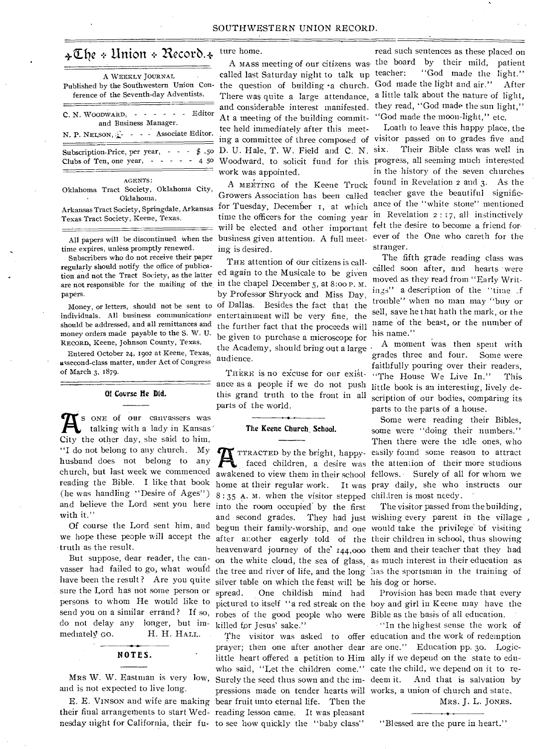# $\triangleleft$  The + Union + Record. $\triangleleft$

| A WEEKLY JOURNAL<br>Published by the Southwestern Union Con-<br>ference of the Seventh-day Adventists.                 |
|------------------------------------------------------------------------------------------------------------------------|
| C. N. WOODWARD, - - - - - - Editor<br>and Business Manager.<br>N. P. NELSON, 2- - - - Associate Editor.                |
| Subscription-Price, per year, $\cdot$ - $\cdot$ \$ .50<br>Clubs of Ten, one year, $\cdot \cdot \cdot \cdot \cdot 4$ 50 |
| <b>AGENTS:</b><br>Okłahoma Tract Society, Oklahoma City,<br>Oklahoma.                                                  |

Arkansas Tract Society, Springdale, Arkansas Texas Tract Society, Keene, Texas.

time expires, unless promptly renewed.

Subscribers who do not receive their paper regularly should notify the office of publicapapers.

individuals. All business communications should be addressed, and all remittances and money orders made payable to the S. W. U. RECORD, Keene, Johnson County, Texas.

Entered October 24, 1902 at Keene, Texas, assecond-class matter, under Act of Congress of March 3, 1879.

#### Of Covrse He Did.

and believe the Lord sent you here into the room occupied by the first **A** S ONE of our canvassers was<br>talking with a lady in Kansas talking with a lady in Kansas' City the other day, she said to him, "I do not belong to any church. My husband does not belong to any church, but last week we commenced (he was handling "Desire of Ages") with it."

Of course the Lord sent him, and we hope these people will accept the truth as the result.

But suppose, dear reader, the canvasser had failed to go, what would have been the result ? Are you quite sure the Lord has not some person or persons to whom He would like to do not delay any longer, but immediately GO. H. H. HALL.

## NOTES.

MRS W. W. Eastman is very low, and is not expected to live long.

## ture home.

A MASS meeting of our citizens was, the boa.<br>lled last Saturday night to talk up teacher: called last Saturday night to talk up n- the question of building a church. At a meeting of the building committee held immediately after this meet- $50$  D. U. Hale, T. W. Field and C. N. six. work was appointed.

All papers will be discontinued when the business given attention. A full meet-<sup>A</sup>MEETING of the Keene Truck Growers Association has been called for Tuesday, December i, at which time the officers for the coming year will be elected and other important ing is desired.

tion and not the Tract Society, as the latter ed again to the Musicale to be given are not responsible for the mailing of the in the chapel December 5, at 8:oo P. M. Money, or letters, should not be sent to of Dallas. Besides the fact that the THE attention of our citizens is callby Professor Shryock and Miss Day, entertainment will he very fine, the the further fact that the proceeds will be given to purchase a microscope for the Academy, should bring out a large  $\cdot$ audience.

> ance as a people if we do not push this grand truth to the front in all parts of the world.

### The Keene Church School.

8:35 A. M. when the visitor stepped children is most needy. silver table on which the feast will be his dog or horse. spread. One childish mind had send you on a similar errand? If so, robes of the good people who were Bible as the basis of all education. killed for Jesus' sake."

E. E. VINSON and wife are making bear fruit unto eternal life. Then the their final arrangements to start Wed-reading lesson came. It was pleasant nesday night for California, their fu-to see how quickly the "baby class" Surely the seed thus sown and the impressions made on tender hearts will works, a union of church and state..

There was quite a large attendance, a little talk about the nature of light, and considerable interest manifested. they read, "God made the sun light," read such sentences as these placed on the board by their mild, patient "God made the light." God made the light and air." After "God made the moon-light," etc.

ing a committee of three composed of visitor passed on to grades five and Woodward, to solicit fund for this progress, all seeming much interested Loath to leave this happy place, the Their Bible class was well in in the history of the seven churches found in Revelation 2 and 3. As the teacher gave the beautiful significance of the "white stone" mentioned in Revelation 2 : 17, all instinctively felt the desire to become a friend forever of the One who careth for the stranger.

> The fifth grade reading class was called soon after, and hearts were moved as they read from "Early Writings" a description of the "time \_f trouble" when no man may "buy or sell, save he that hath the mark, or the name of the beast, or the number of his name."

THERE is no excuse for our exist- "The House We Live In." This A moment was then spent with grades three and four. Some were faithfully pouring over their readers, little book is an interesting, lively description of our bodies, comparing its parts to the parts of a house.,

TTRACTED by the bright, happy-easily found some reason to attract<br>faced children, a desire was the attention of their more studious<br>awakened to view then in their school fellows. Surely of all for whom we TTRACTED by the bright, happy-easily found some reason to attract awakened to view them in their school fellows. • Surely of all for whom we reading the Bible. I like that book home at their regular work. It was pray daily, she who instructs our Some were reading their Bibles, some were "doing their numbers." Then there were the idle ones, who

> and second grades. They had just wishing every parent in the village begun their family-worship, and one would take the privilege of visiting after another eagerly told of the their children in School, thus showing heavenward journey of the 144,000 them and their teacher that they had on the white cloud, the sea of glass, as much interest in their education as the tree and river of life, and the long has the sportsman in the training of The visitor passed from the building,

pictured to itself "a red streak on the boy and girl in Keene may have the Provision has been made that every

The visitor was asked to offer education and the work of redemption prayer; then one after another dear are one." Education pp. 30. Logiclittle heart offered a petition to Him ally if we depend on the state to eduwho said, "Let the children come." cate the child, we depend on it to re-"In the highest sense the work of And that is salvation by MRS. J. L. JONES.

"Blessed are the pure in heart."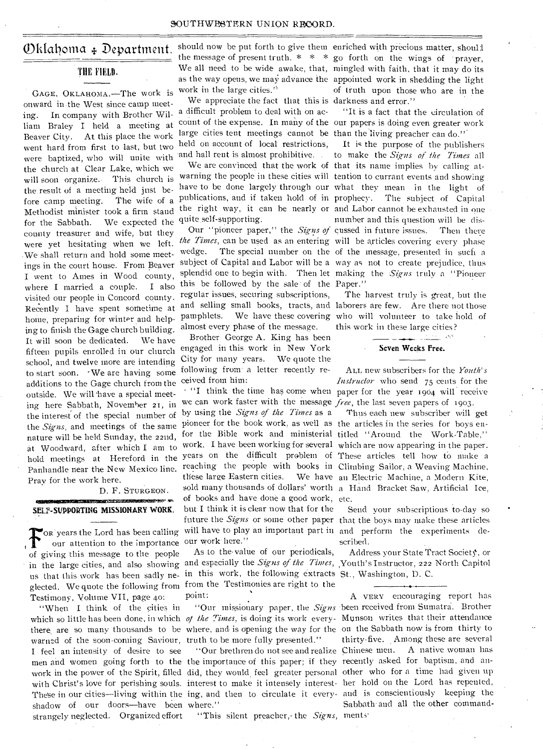## )k[ailoma + Department

## THE FIELD.

GAGE, OKLAHOMA.—The work is onward in-the West since camp meeting. In company with Brother William Braley I held a meeting at Beaver City. At this place the work went hard from first to last, but two were baptized, who will unite with the church at Clear Lake, which we will soon organize. This church is the-result of a meeting held just before camp meeting. The wife of a Methodist minister took a firm stand for the Sabbath. We expected the county treasurer and wife, but they were yet hesitating when we left. .We shall return and hold some meetings in the court house. From Beaver I went to Ames in Wood county, where I married a couple. I also visited our people in Concord county. Recently I have spent sometime at hoine, preparing for winter and helping to finish the Gage church building. It will soon be dedicated. We have fifteen pupils enrolled in our church school, and twelve more are intending to start soon. -We are having some additions to the Gage church from the outside. We will have a special meeting here Sabbath, November 21, in the interest of the special number of the *Signs,* and meetings of the same nature will be held Sunday, the 22nd, at Woodward, after which I am to Panhandle near the New Mexico line. Pray for the work here.

#### D. F. STURGEON.

#### **MARKET STATES OF STATES AND** SELF-SUPPORTING MISSIONARY WORK.

our attention to the importance of giving this message to the people us that this work has been sadly ne-in this Work, the following extracts St., Washington, D. C. glected. We quote the following from. from the Testimonies are right to the Testimony, Volume VII, page 4o:

"When I think of the cities in which so little has been done, in which *of the Times,* is doing its work every-Munson writes that their attendance there are so many thousands to be where, and is opening the way for the on the Sabbath now is from thirty to warned of the soon-coming Saviour, truth to be more fully presented." I feel an intensity of desire to see men and women going forth to the the importance of this paper; if they recently asked for baptism, and anwork in the power of the Spirit, filled did, they would feel greater personal other who for a time had given up with Christ's love for perishing souls. interest to make it intensely interest-her hold on the Lord has repented, shadow of our doors—have been where." strangely neglected. Organized effort

should now be put forth to give them enriched with precious matter, shoull work in the large cities.'

We appreciate the fact that this is darkness and error." a difficult problem to deal with on aclarge cities tent meetings cannot be than the living preacher can do." held on account of local restrictions,

warning the people in these cities will tention to currant events and showing have to be done largely through our what they mean in the light of publications, and if taken hold of in prophecy. The subject of Capital the right way, it can he nearly or and Labor cannot be exhausted in one quite self-supporting.

the Times, can be used as an entering will be articles covering every phase wedge. The special number on the of the message, presented in such a subject of Capital and Labor will be a way as not to create prejudice, thus splendid one to begin with. Then let making the *Signs* truly a "Pioneer this be followed by the sale of the Paper." regular issues, securing subscriptions, and selling small books, tracts, and laborers are few. Are there not those almost every phase of the message.

Brother George A. King has been engaged in this work in New York City for many years. We quote the following from a letter recently received from him:

OR years the Lord has been calling will have to play an important part in and perform the experiments dewe can work faster with the message *free,* the last seven papers of 1903. by using the *Signs of the Times* as a pioneer for the book work, as well as the articles in the series for boys enthese large Eastern cities. of books and have done a good work, etc. but I think it is clear now that for the our work here."

> As to the value of our periodicals, point:

"This silent preacher, the Signs, ments"

the message of present truth.  $* * *$  go forth on the wings of prayer, We all need to be wide awake, that, mingled with faith, that it may do its as the way opens, we may advance the appointed work in shedding the light of truth upon those who are in the

count of the expense. In many of the our papers is doing even greater work "It is a fact that the circulation of

and hall rent is almost prohibitive. . to make the *Signs of the Times-* all We are convinced that the work of that its name implies by calling at-Our "pioneer paper," the *Signs of* cussed in future issues. Then there It is the purpose of the publishers number and this question will be dis-

pamphlets. We have these covering who will volunteer to take hold of The harvest truly is great, but the this work in these large cities?

#### Seven Weeks Free.

医血管切除术 磷酸

• "I think the time has come when paper for the year 1904 will receive ALL new subscribers for the *Youth's Instructor* who send 75 cents for the

for the Bible work and ministerial titled "Around the Work-Table," work. I have been working for several which are now appearing in the paper. hold meetings at Hereford in the years on the difficult problem of These articles tell how to make a reaching the people with books in Climbing Sailor, a Weaving Machine, sold many thousands of dollars' worth a Hand Bracket Saw, Artificial Ice, Thus each new subscriber will get We have an Electric Machine, a Modern Kite,

> future the *Signs* or some other paper that the boys may make these articles Send your subscriptions to-day so scribed.

in the large cities, and also showing and especially the *Signs of the Times,*  Youth's Instructor, 222 North Capitol Address your State Tract Society, or

These in our cities—living within the ing, and then to circulate it every- and is conscientiously keeping the "Our missionary paper, the *Signs*  been received from Sumatra.. Brother "Our brethren do not see and realize Chinese men. A native woman has A. VERY encouraging report has thirty-five. Among these are several Sabbath and all the other command-